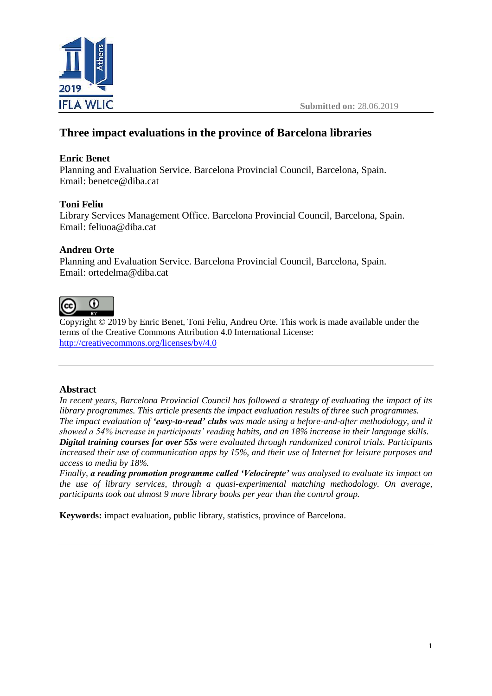



# **Three impact evaluations in the province of Barcelona libraries**

## **Enric Benet**

Planning and Evaluation Service. Barcelona Provincial Council, Barcelona, Spain. Email: benetce@diba.cat

## **Toni Feliu**

Library Services Management Office. Barcelona Provincial Council, Barcelona, Spain. Email: feliuoa@diba.cat

## **Andreu Orte**

Planning and Evaluation Service. Barcelona Provincial Council, Barcelona, Spain. Email: ortedelma@diba.cat



Copyright © 2019 by Enric Benet, Toni Feliu, Andreu Orte. This work is made available under the terms of the Creative Commons Attribution 4.0 International License: <http://creativecommons.org/licenses/by/4.0>

## **Abstract**

*In recent years, Barcelona Provincial Council has followed a strategy of evaluating the impact of its library programmes. This article presents the impact evaluation results of three such programmes. The impact evaluation of 'easy-to-read' clubs was made using a before-and-after methodology, and it showed a 54% increase in participants' reading habits, and an 18% increase in their language skills. Digital training courses for over 55s were evaluated through randomized control trials. Participants increased their use of communication apps by 15%, and their use of Internet for leisure purposes and access to media by 18%.*

*Finally, a reading promotion programme called 'Velocirepte' was analysed to evaluate its impact on the use of library services, through a quasi-experimental matching methodology. On average, participants took out almost 9 more library books per year than the control group.*

**Keywords:** impact evaluation, public library, statistics, province of Barcelona.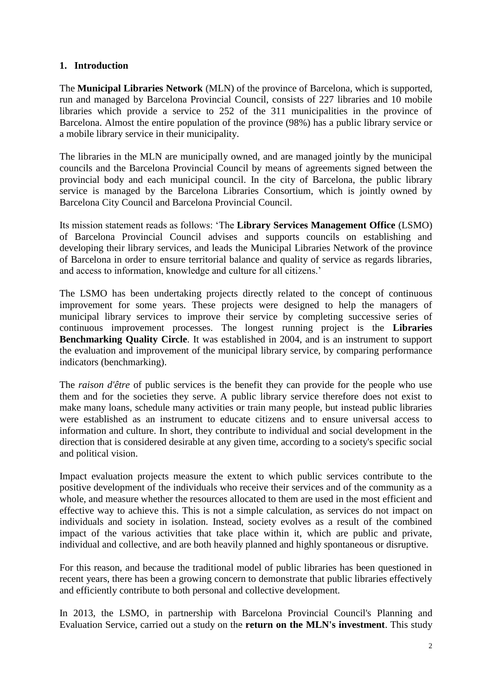## **1. Introduction**

The **Municipal Libraries Network** (MLN) of the province of Barcelona, which is supported, run and managed by Barcelona Provincial Council, consists of 227 libraries and 10 mobile libraries which provide a service to 252 of the 311 municipalities in the province of Barcelona. Almost the entire population of the province (98%) has a public library service or a mobile library service in their municipality.

The libraries in the MLN are municipally owned, and are managed jointly by the municipal councils and the Barcelona Provincial Council by means of agreements signed between the provincial body and each municipal council. In the city of Barcelona, the public library service is managed by the Barcelona Libraries Consortium, which is jointly owned by Barcelona City Council and Barcelona Provincial Council.

Its mission statement reads as follows: 'The **Library Services Management Office** (LSMO) of Barcelona Provincial Council advises and supports councils on establishing and developing their library services, and leads the Municipal Libraries Network of the province of Barcelona in order to ensure territorial balance and quality of service as regards libraries, and access to information, knowledge and culture for all citizens.'

The LSMO has been undertaking projects directly related to the concept of continuous improvement for some years. These projects were designed to help the managers of municipal library services to improve their service by completing successive series of continuous improvement processes. The longest running project is the **Libraries Benchmarking Quality Circle**. It was established in 2004, and is an instrument to support the evaluation and improvement of the municipal library service, by comparing performance indicators (benchmarking).

The *raison d'être* of public services is the benefit they can provide for the people who use them and for the societies they serve. A public library service therefore does not exist to make many loans, schedule many activities or train many people, but instead public libraries were established as an instrument to educate citizens and to ensure universal access to information and culture. In short, they contribute to individual and social development in the direction that is considered desirable at any given time, according to a society's specific social and political vision.

Impact evaluation projects measure the extent to which public services contribute to the positive development of the individuals who receive their services and of the community as a whole, and measure whether the resources allocated to them are used in the most efficient and effective way to achieve this. This is not a simple calculation, as services do not impact on individuals and society in isolation. Instead, society evolves as a result of the combined impact of the various activities that take place within it, which are public and private, individual and collective, and are both heavily planned and highly spontaneous or disruptive.

For this reason, and because the traditional model of public libraries has been questioned in recent years, there has been a growing concern to demonstrate that public libraries effectively and efficiently contribute to both personal and collective development.

In 2013, the LSMO, in partnership with Barcelona Provincial Council's Planning and Evaluation Service, carried out a study on the **return on the MLN's investment**. This study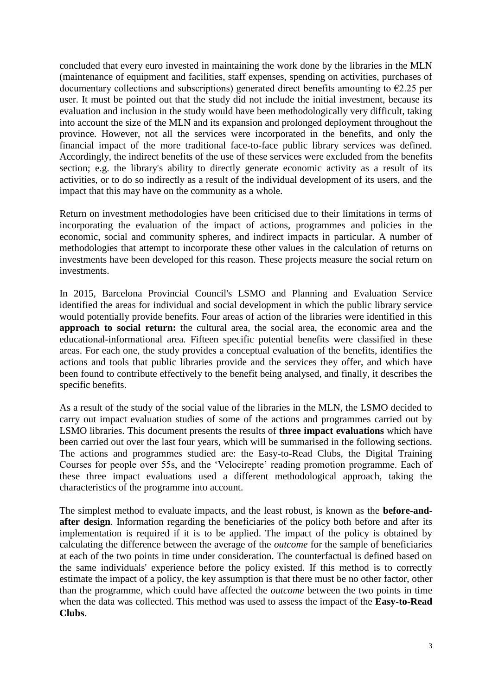concluded that every euro invested in maintaining the work done by the libraries in the MLN (maintenance of equipment and facilities, staff expenses, spending on activities, purchases of documentary collections and subscriptions) generated direct benefits amounting to €2.25 per user. It must be pointed out that the study did not include the initial investment, because its evaluation and inclusion in the study would have been methodologically very difficult, taking into account the size of the MLN and its expansion and prolonged deployment throughout the province. However, not all the services were incorporated in the benefits, and only the financial impact of the more traditional face-to-face public library services was defined. Accordingly, the indirect benefits of the use of these services were excluded from the benefits section; e.g. the library's ability to directly generate economic activity as a result of its activities, or to do so indirectly as a result of the individual development of its users, and the impact that this may have on the community as a whole.

Return on investment methodologies have been criticised due to their limitations in terms of incorporating the evaluation of the impact of actions, programmes and policies in the economic, social and community spheres, and indirect impacts in particular. A number of methodologies that attempt to incorporate these other values in the calculation of returns on investments have been developed for this reason. These projects measure the social return on investments.

In 2015, Barcelona Provincial Council's LSMO and Planning and Evaluation Service identified the areas for individual and social development in which the public library service would potentially provide benefits. Four areas of action of the libraries were identified in this **approach to social return:** the cultural area, the social area, the economic area and the educational-informational area. Fifteen specific potential benefits were classified in these areas. For each one, the study provides a conceptual evaluation of the benefits, identifies the actions and tools that public libraries provide and the services they offer, and which have been found to contribute effectively to the benefit being analysed, and finally, it describes the specific benefits.

As a result of the study of the social value of the libraries in the MLN, the LSMO decided to carry out impact evaluation studies of some of the actions and programmes carried out by LSMO libraries. This document presents the results of **three impact evaluations** which have been carried out over the last four years, which will be summarised in the following sections. The actions and programmes studied are: the Easy-to-Read Clubs, the Digital Training Courses for people over 55s, and the 'Velocirepte' reading promotion programme. Each of these three impact evaluations used a different methodological approach, taking the characteristics of the programme into account.

The simplest method to evaluate impacts, and the least robust, is known as the **before-andafter design**. Information regarding the beneficiaries of the policy both before and after its implementation is required if it is to be applied. The impact of the policy is obtained by calculating the difference between the average of the *outcome* for the sample of beneficiaries at each of the two points in time under consideration. The counterfactual is defined based on the same individuals' experience before the policy existed. If this method is to correctly estimate the impact of a policy, the key assumption is that there must be no other factor, other than the programme, which could have affected the *outcome* between the two points in time when the data was collected. This method was used to assess the impact of the **Easy-to-Read Clubs**.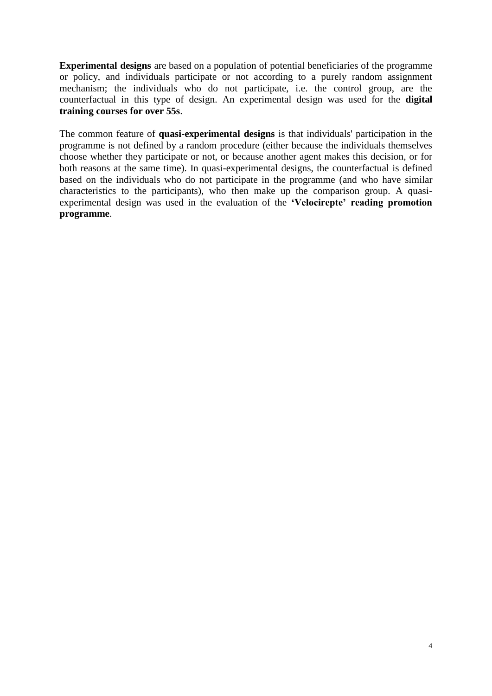**Experimental designs** are based on a population of potential beneficiaries of the programme or policy, and individuals participate or not according to a purely random assignment mechanism; the individuals who do not participate, i.e. the control group, are the counterfactual in this type of design. An experimental design was used for the **digital training courses for over 55s**.

The common feature of **quasi-experimental designs** is that individuals' participation in the programme is not defined by a random procedure (either because the individuals themselves choose whether they participate or not, or because another agent makes this decision, or for both reasons at the same time). In quasi-experimental designs, the counterfactual is defined based on the individuals who do not participate in the programme (and who have similar characteristics to the participants), who then make up the comparison group. A quasiexperimental design was used in the evaluation of the **'Velocirepte' reading promotion programme**.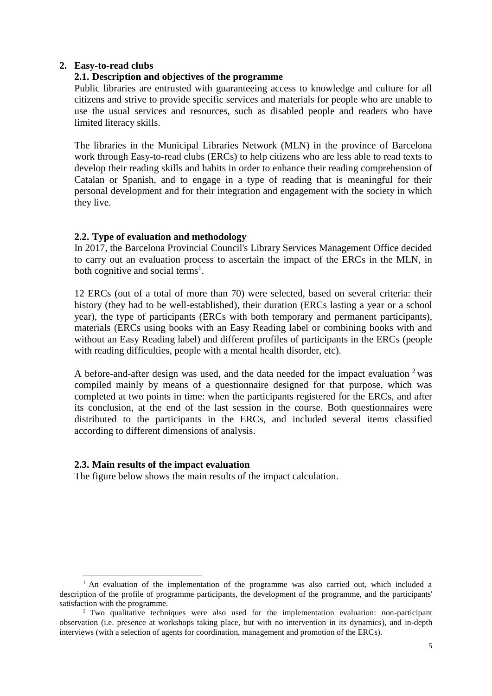### **2. Easy-to-read clubs**

### **2.1. Description and objectives of the programme**

Public libraries are entrusted with guaranteeing access to knowledge and culture for all citizens and strive to provide specific services and materials for people who are unable to use the usual services and resources, such as disabled people and readers who have limited literacy skills.

The libraries in the Municipal Libraries Network (MLN) in the province of Barcelona work through Easy-to-read clubs (ERCs) to help citizens who are less able to read texts to develop their reading skills and habits in order to enhance their reading comprehension of Catalan or Spanish, and to engage in a type of reading that is meaningful for their personal development and for their integration and engagement with the society in which they live.

#### **2.2. Type of evaluation and methodology**

In 2017, the Barcelona Provincial Council's Library Services Management Office decided to carry out an evaluation process to ascertain the impact of the ERCs in the MLN, in both cognitive and social terms<sup>1</sup>.

12 ERCs (out of a total of more than 70) were selected, based on several criteria: their history (they had to be well-established), their duration (ERCs lasting a year or a school year), the type of participants (ERCs with both temporary and permanent participants), materials (ERCs using books with an Easy Reading label or combining books with and without an Easy Reading label) and different profiles of participants in the ERCs (people with reading difficulties, people with a mental health disorder, etc).

A before-and-after design was used, and the data needed for the impact evaluation  $2$  was compiled mainly by means of a questionnaire designed for that purpose, which was completed at two points in time: when the participants registered for the ERCs, and after its conclusion, at the end of the last session in the course. Both questionnaires were distributed to the participants in the ERCs, and included several items classified according to different dimensions of analysis.

#### **2.3. Main results of the impact evaluation**

 $\overline{a}$ 

The figure below shows the main results of the impact calculation.

<sup>&</sup>lt;sup>1</sup> An evaluation of the implementation of the programme was also carried out, which included a description of the profile of programme participants, the development of the programme, and the participants' satisfaction with the programme.

<sup>&</sup>lt;sup>2</sup> Two qualitative techniques were also used for the implementation evaluation: non-participant observation (i.e. presence at workshops taking place, but with no intervention in its dynamics), and in-depth interviews (with a selection of agents for coordination, management and promotion of the ERCs).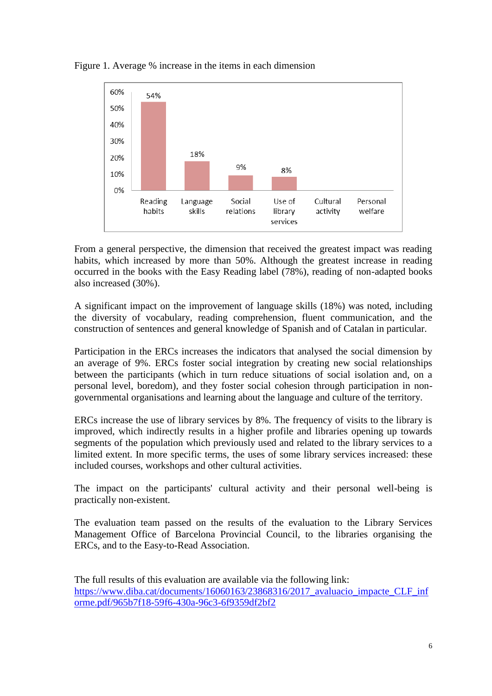

Figure 1. Average % increase in the items in each dimension

From a general perspective, the dimension that received the greatest impact was reading habits, which increased by more than 50%. Although the greatest increase in reading occurred in the books with the Easy Reading label (78%), reading of non-adapted books also increased (30%).

A significant impact on the improvement of language skills (18%) was noted, including the diversity of vocabulary, reading comprehension, fluent communication, and the construction of sentences and general knowledge of Spanish and of Catalan in particular.

Participation in the ERCs increases the indicators that analysed the social dimension by an average of 9%. ERCs foster social integration by creating new social relationships between the participants (which in turn reduce situations of social isolation and, on a personal level, boredom), and they foster social cohesion through participation in nongovernmental organisations and learning about the language and culture of the territory.

ERCs increase the use of library services by 8%. The frequency of visits to the library is improved, which indirectly results in a higher profile and libraries opening up towards segments of the population which previously used and related to the library services to a limited extent. In more specific terms, the uses of some library services increased: these included courses, workshops and other cultural activities.

The impact on the participants' cultural activity and their personal well-being is practically non-existent.

The evaluation team passed on the results of the evaluation to the Library Services Management Office of Barcelona Provincial Council, to the libraries organising the ERCs, and to the Easy-to-Read Association.

The full results of this evaluation are available via the following link: [https://www.diba.cat/documents/16060163/23868316/2017\\_avaluacio\\_impacte\\_CLF\\_inf](https://www.diba.cat/documents/16060163/23868316/2017_avaluacio_impacte_CLF_informe.pdf/965b7f18-59f6-430a-96c3-6f9359df2bf2) [orme.pdf/965b7f18-59f6-430a-96c3-6f9359df2bf2](https://www.diba.cat/documents/16060163/23868316/2017_avaluacio_impacte_CLF_informe.pdf/965b7f18-59f6-430a-96c3-6f9359df2bf2)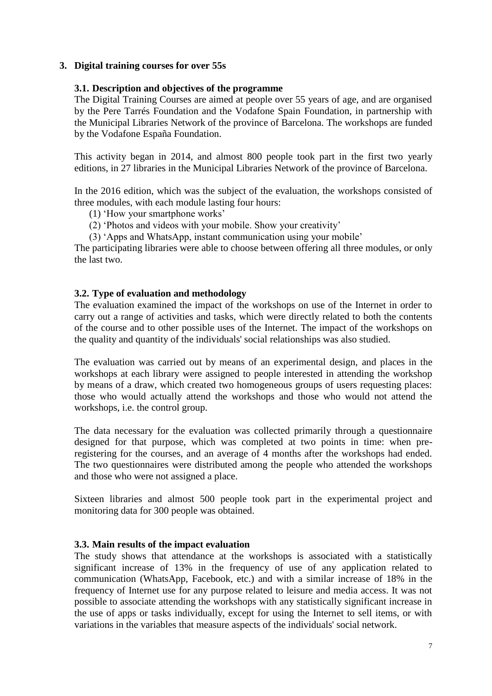## **3. Digital training courses for over 55s**

### **3.1. Description and objectives of the programme**

The Digital Training Courses are aimed at people over 55 years of age, and are organised by the Pere Tarrés Foundation and the Vodafone Spain Foundation, in partnership with the Municipal Libraries Network of the province of Barcelona. The workshops are funded by the Vodafone España Foundation.

This activity began in 2014, and almost 800 people took part in the first two yearly editions, in 27 libraries in the Municipal Libraries Network of the province of Barcelona.

In the 2016 edition, which was the subject of the evaluation, the workshops consisted of three modules, with each module lasting four hours:

- (1) 'How your smartphone works'
- (2) 'Photos and videos with your mobile. Show your creativity'
- (3) 'Apps and WhatsApp, instant communication using your mobile'

The participating libraries were able to choose between offering all three modules, or only the last two.

#### **3.2. Type of evaluation and methodology**

The evaluation examined the impact of the workshops on use of the Internet in order to carry out a range of activities and tasks, which were directly related to both the contents of the course and to other possible uses of the Internet. The impact of the workshops on the quality and quantity of the individuals' social relationships was also studied.

The evaluation was carried out by means of an experimental design, and places in the workshops at each library were assigned to people interested in attending the workshop by means of a draw, which created two homogeneous groups of users requesting places: those who would actually attend the workshops and those who would not attend the workshops, i.e. the control group.

The data necessary for the evaluation was collected primarily through a questionnaire designed for that purpose, which was completed at two points in time: when preregistering for the courses, and an average of 4 months after the workshops had ended. The two questionnaires were distributed among the people who attended the workshops and those who were not assigned a place.

Sixteen libraries and almost 500 people took part in the experimental project and monitoring data for 300 people was obtained.

### **3.3. Main results of the impact evaluation**

The study shows that attendance at the workshops is associated with a statistically significant increase of 13% in the frequency of use of any application related to communication (WhatsApp, Facebook, etc.) and with a similar increase of 18% in the frequency of Internet use for any purpose related to leisure and media access. It was not possible to associate attending the workshops with any statistically significant increase in the use of apps or tasks individually, except for using the Internet to sell items, or with variations in the variables that measure aspects of the individuals' social network.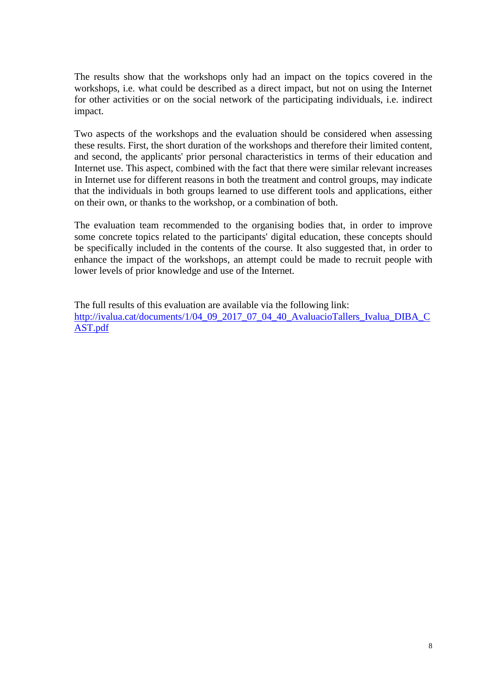The results show that the workshops only had an impact on the topics covered in the workshops, i.e. what could be described as a direct impact, but not on using the Internet for other activities or on the social network of the participating individuals, i.e. indirect impact.

Two aspects of the workshops and the evaluation should be considered when assessing these results. First, the short duration of the workshops and therefore their limited content, and second, the applicants' prior personal characteristics in terms of their education and Internet use. This aspect, combined with the fact that there were similar relevant increases in Internet use for different reasons in both the treatment and control groups, may indicate that the individuals in both groups learned to use different tools and applications, either on their own, or thanks to the workshop, or a combination of both.

The evaluation team recommended to the organising bodies that, in order to improve some concrete topics related to the participants' digital education, these concepts should be specifically included in the contents of the course. It also suggested that, in order to enhance the impact of the workshops, an attempt could be made to recruit people with lower levels of prior knowledge and use of the Internet.

The full results of this evaluation are available via the following link: [http://ivalua.cat/documents/1/04\\_09\\_2017\\_07\\_04\\_40\\_AvaluacioTallers\\_Ivalua\\_DIBA\\_C](http://ivalua.cat/documents/1/04_09_2017_07_04_40_AvaluacioTallers_Ivalua_DIBA_CAST.pdf) [AST.pdf](http://ivalua.cat/documents/1/04_09_2017_07_04_40_AvaluacioTallers_Ivalua_DIBA_CAST.pdf)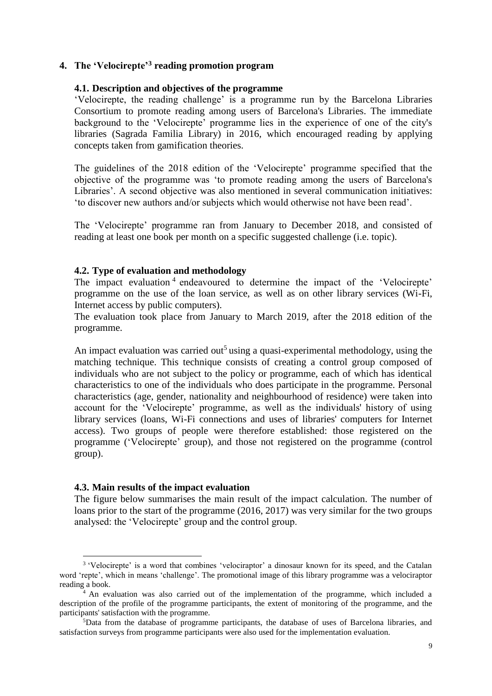### **4. The 'Velocirepte'<sup>3</sup> reading promotion program**

#### **4.1. Description and objectives of the programme**

'Velocirepte, the reading challenge' is a programme run by the Barcelona Libraries Consortium to promote reading among users of Barcelona's Libraries. The immediate background to the 'Velocirepte' programme lies in the experience of one of the city's libraries (Sagrada Familia Library) in 2016, which encouraged reading by applying concepts taken from gamification theories.

The guidelines of the 2018 edition of the 'Velocirepte' programme specified that the objective of the programme was 'to promote reading among the users of Barcelona's Libraries'. A second objective was also mentioned in several communication initiatives: 'to discover new authors and/or subjects which would otherwise not have been read'.

The 'Velocirepte' programme ran from January to December 2018, and consisted of reading at least one book per month on a specific suggested challenge (i.e. topic).

#### **4.2. Type of evaluation and methodology**

The impact evaluation<sup>4</sup> endeavoured to determine the impact of the 'Velocirepte' programme on the use of the loan service, as well as on other library services (Wi-Fi, Internet access by public computers).

The evaluation took place from January to March 2019, after the 2018 edition of the programme.

An impact evaluation was carried out<sup>5</sup> using a quasi-experimental methodology, using the matching technique. This technique consists of creating a control group composed of individuals who are not subject to the policy or programme, each of which has identical characteristics to one of the individuals who does participate in the programme. Personal characteristics (age, gender, nationality and neighbourhood of residence) were taken into account for the 'Velocirepte' programme, as well as the individuals' history of using library services (loans, Wi-Fi connections and uses of libraries' computers for Internet access). Two groups of people were therefore established: those registered on the programme ('Velocirepte' group), and those not registered on the programme (control group).

#### **4.3. Main results of the impact evaluation**

 $\overline{a}$ 

The figure below summarises the main result of the impact calculation. The number of loans prior to the start of the programme (2016, 2017) was very similar for the two groups analysed: the 'Velocirepte' group and the control group.

<sup>&</sup>lt;sup>3</sup> 'Velocirepte' is a word that combines 'velociraptor' a dinosaur known for its speed, and the Catalan word 'repte', which in means 'challenge'. The promotional image of this library programme was a velociraptor reading a book.

 $\frac{4}{4}$  An evaluation was also carried out of the implementation of the programme, which included a description of the profile of the programme participants, the extent of monitoring of the programme, and the participants' satisfaction with the programme.

<sup>&</sup>lt;sup>5</sup>Data from the database of programme participants, the database of uses of Barcelona libraries, and satisfaction surveys from programme participants were also used for the implementation evaluation.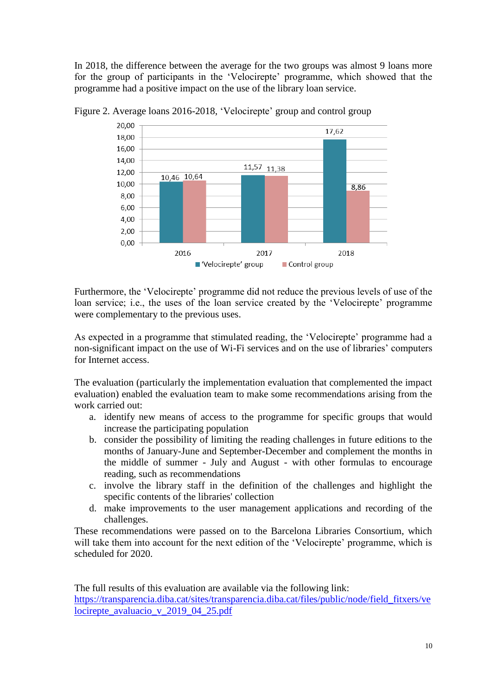In 2018, the difference between the average for the two groups was almost 9 loans more for the group of participants in the 'Velocirepte' programme, which showed that the programme had a positive impact on the use of the library loan service.



Figure 2. Average loans 2016-2018, 'Velocirepte' group and control group

Furthermore, the 'Velocirepte' programme did not reduce the previous levels of use of the loan service; i.e., the uses of the loan service created by the 'Velocirepte' programme were complementary to the previous uses.

As expected in a programme that stimulated reading, the 'Velocirepte' programme had a non-significant impact on the use of Wi-Fi services and on the use of libraries' computers for Internet access.

The evaluation (particularly the implementation evaluation that complemented the impact evaluation) enabled the evaluation team to make some recommendations arising from the work carried out:

- a. identify new means of access to the programme for specific groups that would increase the participating population
- b. consider the possibility of limiting the reading challenges in future editions to the months of January-June and September-December and complement the months in the middle of summer - July and August - with other formulas to encourage reading, such as recommendations
- c. involve the library staff in the definition of the challenges and highlight the specific contents of the libraries' collection
- d. make improvements to the user management applications and recording of the challenges.

These recommendations were passed on to the Barcelona Libraries Consortium, which will take them into account for the next edition of the 'Velocirepte' programme, which is scheduled for 2020.

The full results of this evaluation are available via the following link: [https://transparencia.diba.cat/sites/transparencia.diba.cat/files/public/node/field\\_fitxers/ve](https://transparencia.diba.cat/sites/transparencia.diba.cat/files/public/node/field_fitxers/velocirepte_avaluacio_v_2019_04_25.pdf) locirepte avaluacio v 2019 04 25.pdf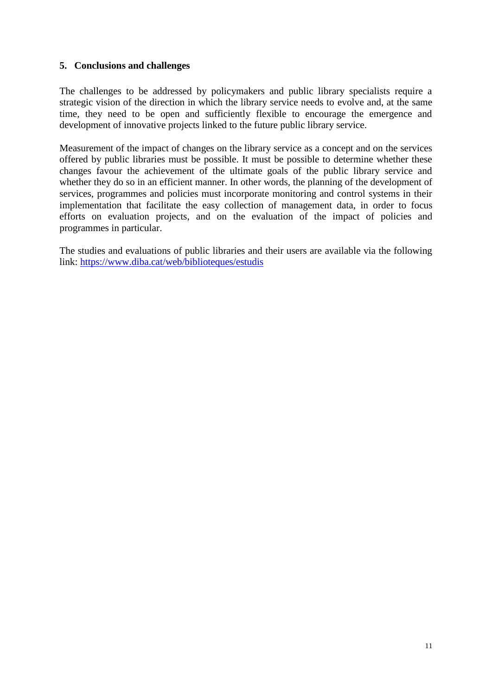## **5. Conclusions and challenges**

The challenges to be addressed by policymakers and public library specialists require a strategic vision of the direction in which the library service needs to evolve and, at the same time, they need to be open and sufficiently flexible to encourage the emergence and development of innovative projects linked to the future public library service.

Measurement of the impact of changes on the library service as a concept and on the services offered by public libraries must be possible. It must be possible to determine whether these changes favour the achievement of the ultimate goals of the public library service and whether they do so in an efficient manner. In other words, the planning of the development of services, programmes and policies must incorporate monitoring and control systems in their implementation that facilitate the easy collection of management data, in order to focus efforts on evaluation projects, and on the evaluation of the impact of policies and programmes in particular.

The studies and evaluations of public libraries and their users are available via the following link: <https://www.diba.cat/web/biblioteques/estudis>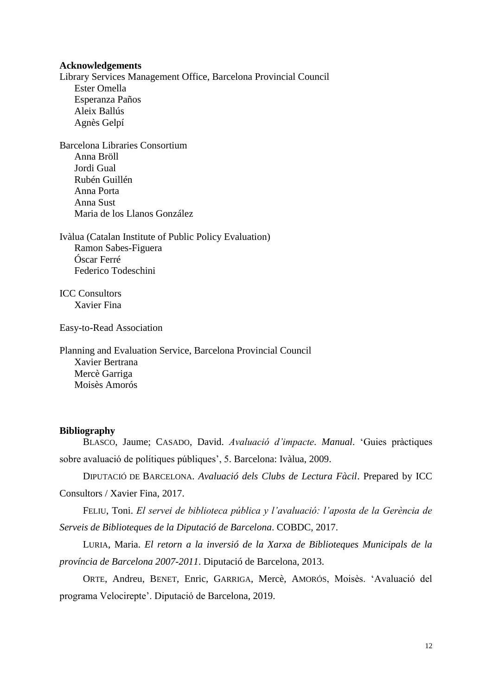#### **Acknowledgements**

Library Services Management Office, Barcelona Provincial Council Ester Omella Esperanza Paños Aleix Ballús Agnès Gelpí

Barcelona Libraries Consortium Anna Bröll Jordi Gual Rubén Guillén Anna Porta Anna Sust Maria de los Llanos González

Ivàlua (Catalan Institute of Public Policy Evaluation) Ramon Sabes-Figuera Óscar Ferré Federico Todeschini

ICC Consultors Xavier Fina

Easy-to-Read Association

Planning and Evaluation Service, Barcelona Provincial Council Xavier Bertrana Mercè Garriga Moisès Amorós

#### **Bibliography**

BLASCO, Jaume; CASADO, David. *Avaluació d'impacte*. *Manual*. 'Guies pràctiques sobre avaluació de polítiques públiques', 5. Barcelona: Ivàlua, 2009.

DIPUTACIÓ DE BARCELONA. *Avaluació dels Clubs de Lectura Fàcil*. Prepared by ICC Consultors / Xavier Fina, 2017.

FELIU, Toni. *El servei de biblioteca pública y l'avaluació: l'aposta de la Gerència de Serveis de Biblioteques de la Diputació de Barcelona*. COBDC, 2017.

LURIA, Maria. *El retorn a la inversió de la Xarxa de Biblioteques Municipals de la província de Barcelona 2007-2011*. Diputació de Barcelona, 2013.

ORTE, Andreu, BENET, Enric, GARRIGA, Mercè, AMORÓS, Moisès. 'Avaluació del programa Velocirepte'. Diputació de Barcelona, 2019.